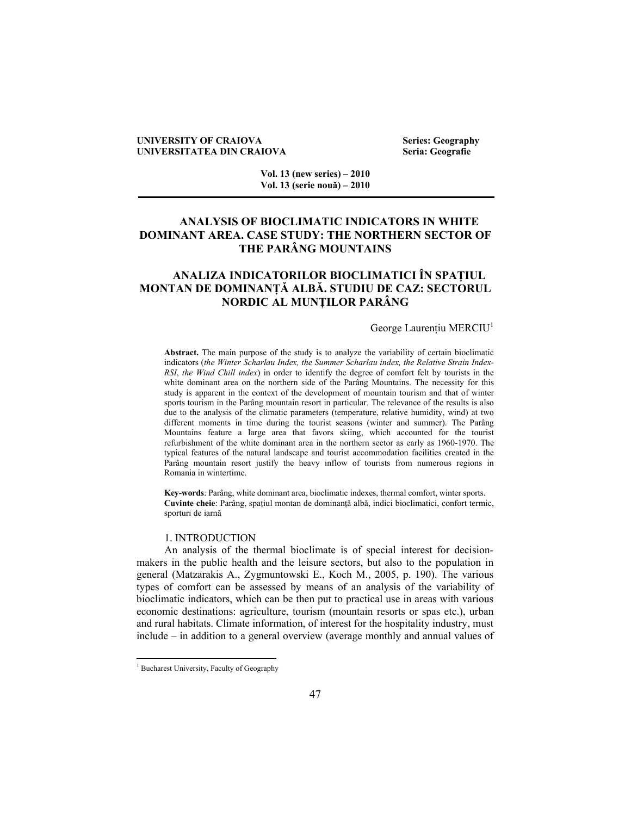### **UNIVERSITY OF CRAIOVA Series: Geography UNIVERSITATEA DIN CRAIOVA**

**Vol. 13 (new series) – 2010 Vol. 13 (serie nouă) – 2010** 

# **ANALYSIS OF BIOCLIMATIC INDICATORS IN WHITE DOMINANT AREA. CASE STUDY: THE NORTHERN SECTOR OF THE PARÂNG MOUNTAINS**

# **ANALIZA INDICATORILOR BIOCLIMATICI ÎN SPAŢIUL MONTAN DE DOMINANŢĂ ALBĂ. STUDIU DE CAZ: SECTORUL NORDIC AL MUNŢILOR PARÂNG**

### George Laurentiu MERCIU<sup>1</sup>

**Abstract.** The main purpose of the study is to analyze the variability of certain bioclimatic indicators (*the Winter Scharlau Index, the Summer Scharlau index, the Relative Strain Index*-*RSI*, *the Wind Chill index*) in order to identify the degree of comfort felt by tourists in the white dominant area on the northern side of the Parâng Mountains. The necessity for this study is apparent in the context of the development of mountain tourism and that of winter sports tourism in the Parâng mountain resort in particular. The relevance of the results is also due to the analysis of the climatic parameters (temperature, relative humidity, wind) at two different moments in time during the tourist seasons (winter and summer). The Parâng Mountains feature a large area that favors skiing, which accounted for the tourist refurbishment of the white dominant area in the northern sector as early as 1960-1970. The typical features of the natural landscape and tourist accommodation facilities created in the Parâng mountain resort justify the heavy inflow of tourists from numerous regions in Romania in wintertime.

**Key-words**: Parâng, white dominant area, bioclimatic indexes, thermal comfort, winter sports. **Cuvinte cheie**: Parâng, spaţiul montan de dominanţă albă, indici bioclimatici, confort termic, sporturi de iarnă

### 1. INTRODUCTION

An analysis of the thermal bioclimate is of special interest for decisionmakers in the public health and the leisure sectors, but also to the population in general (Matzarakis A., Zygmuntowski E., Koch M., 2005, p. 190). The various types of comfort can be assessed by means of an analysis of the variability of bioclimatic indicators, which can be then put to practical use in areas with various economic destinations: agriculture, tourism (mountain resorts or spas etc.), urban and rural habitats. Climate information, of interest for the hospitality industry, must include – in addition to a general overview (average monthly and annual values of

 $\overline{a}$ 

<sup>&</sup>lt;sup>1</sup> Bucharest University, Faculty of Geography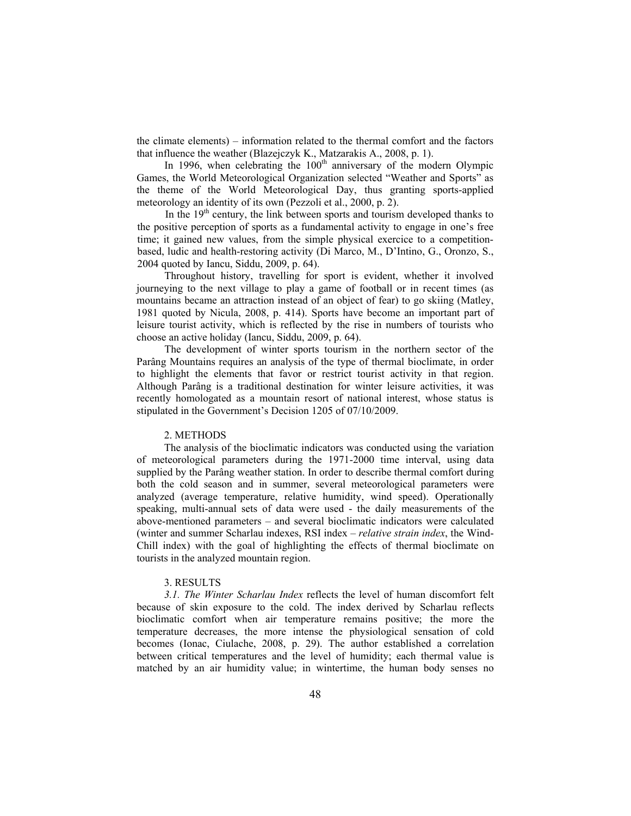the climate elements) – information related to the thermal comfort and the factors that influence the weather (Blazejczyk K., Matzarakis A., 2008, p. 1).

In 1996, when celebrating the  $100<sup>th</sup>$  anniversary of the modern Olympic Games, the World Meteorological Organization selected "Weather and Sports" as the theme of the World Meteorological Day, thus granting sports-applied meteorology an identity of its own (Pezzoli et al., 2000, p. 2).

In the  $19<sup>th</sup>$  century, the link between sports and tourism developed thanks to the positive perception of sports as a fundamental activity to engage in one's free time; it gained new values, from the simple physical exercice to a competitionbased, ludic and health-restoring activity (Di Marco, M., D'Intino, G., Oronzo, S., 2004 quoted by Iancu, Siddu, 2009, p. 64).

Throughout history, travelling for sport is evident, whether it involved journeying to the next village to play a game of football or in recent times (as mountains became an attraction instead of an object of fear) to go skiing (Matley, 1981 quoted by Nicula, 2008, p. 414). Sports have become an important part of leisure tourist activity, which is reflected by the rise in numbers of tourists who choose an active holiday (Iancu, Siddu, 2009, p. 64).

The development of winter sports tourism in the northern sector of the Parâng Mountains requires an analysis of the type of thermal bioclimate, in order to highlight the elements that favor or restrict tourist activity in that region. Although Parâng is a traditional destination for winter leisure activities, it was recently homologated as a mountain resort of national interest, whose status is stipulated in the Government's Decision 1205 of 07/10/2009.

## 2. METHODS

The analysis of the bioclimatic indicators was conducted using the variation of meteorological parameters during the 1971-2000 time interval, using data supplied by the Parâng weather station. In order to describe thermal comfort during both the cold season and in summer, several meteorological parameters were analyzed (average temperature, relative humidity, wind speed). Operationally speaking, multi-annual sets of data were used - the daily measurements of the above-mentioned parameters – and several bioclimatic indicators were calculated (winter and summer Scharlau indexes, RSI index – *relative strain index*, the Wind-Chill index) with the goal of highlighting the effects of thermal bioclimate on tourists in the analyzed mountain region.

### 3. RESULTS

*3.1. The Winter Scharlau Index* reflects the level of human discomfort felt because of skin exposure to the cold. The index derived by Scharlau reflects bioclimatic comfort when air temperature remains positive; the more the temperature decreases, the more intense the physiological sensation of cold becomes (Ionac, Ciulache, 2008, p. 29). The author established a correlation between critical temperatures and the level of humidity; each thermal value is matched by an air humidity value; in wintertime, the human body senses no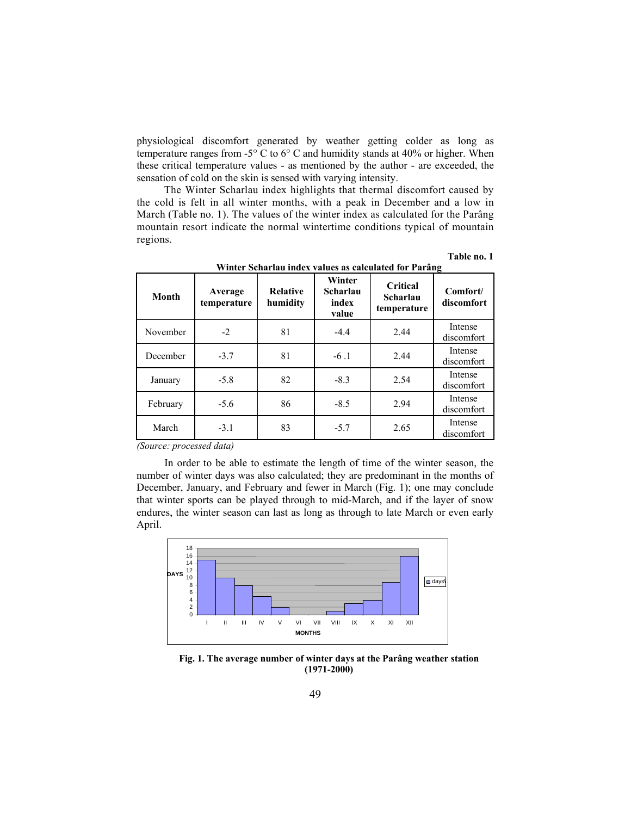physiological discomfort generated by weather getting colder as long as temperature ranges from -5° C to 6° C and humidity stands at 40% or higher. When these critical temperature values - as mentioned by the author - are exceeded, the sensation of cold on the skin is sensed with varying intensity.

The Winter Scharlau index highlights that thermal discomfort caused by the cold is felt in all winter months, with a peak in December and a low in March (Table no. 1). The values of the winter index as calculated for the Parâng mountain resort indicate the normal wintertime conditions typical of mountain regions.

| Month    | Average<br>temperature | <b>Relative</b><br>humidity | Winter<br>Scharlau<br>index<br>value | Critical<br>Scharlau<br>temperature | Comfort/<br>discomfort |  |  |  |
|----------|------------------------|-----------------------------|--------------------------------------|-------------------------------------|------------------------|--|--|--|
| November | $-2$                   | 81                          | $-4.4$                               | 2.44                                | Intense<br>discomfort  |  |  |  |
| December | $-3.7$                 | 81                          | $-6.1$                               | 2.44                                | Intense<br>discomfort  |  |  |  |
| January  | $-5.8$                 | 82                          | $-8.3$                               | 2.54                                | Intense<br>discomfort  |  |  |  |
| February | $-5.6$                 | 86                          | $-8.5$                               | 2.94                                | Intense<br>discomfort  |  |  |  |
| March    | $-3.1$                 | 83                          | $-5.7$                               | 2.65                                | Intense<br>discomfort  |  |  |  |

**Winter Scharlau index values as calculated for Parâng** 

**Table no. 1** 

*(Source: processed data)* 

In order to be able to estimate the length of time of the winter season, the number of winter days was also calculated; they are predominant in the months of December, January, and February and fewer in March (Fig. 1); one may conclude that winter sports can be played through to mid-March, and if the layer of snow endures, the winter season can last as long as through to late March or even early April.



**Fig. 1. The average number of winter days at the Parâng weather station (1971-2000)**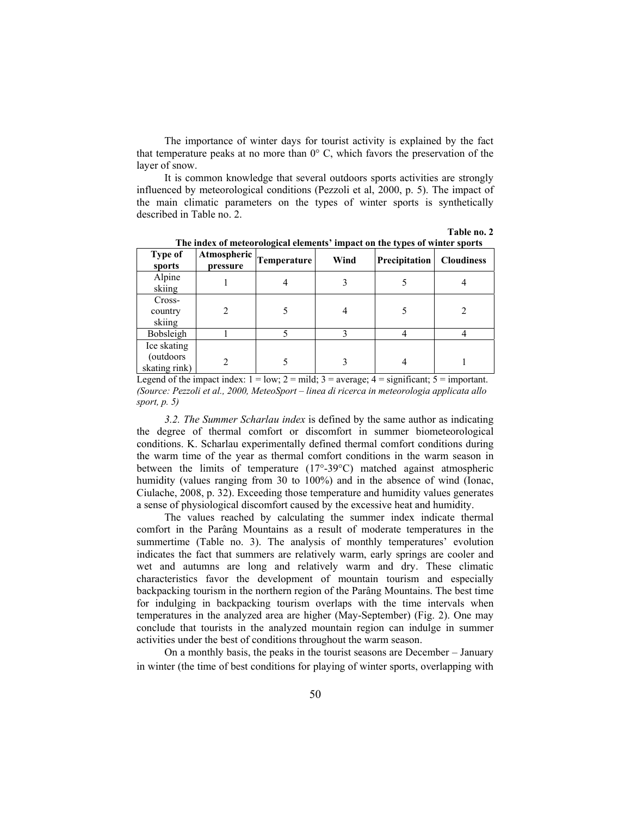The importance of winter days for tourist activity is explained by the fact that temperature peaks at no more than  $0^{\circ}$  C, which favors the preservation of the layer of snow.

It is common knowledge that several outdoors sports activities are strongly influenced by meteorological conditions (Pezzoli et al, 2000, p. 5). The impact of the main climatic parameters on the types of winter sports is synthetically described in Table no. 2.

**Table no. 2** 

| <b>Type of</b><br>sports                  | pressure | $\mathsf{A}$ tmospheric $\vert$ Temperature $\vert$ | Wind | Precipitation | <b>Cloudiness</b> |  |
|-------------------------------------------|----------|-----------------------------------------------------|------|---------------|-------------------|--|
| Alpine<br>skiing                          |          |                                                     |      |               |                   |  |
| Cross-<br>country<br>skiing               |          |                                                     | 4    |               |                   |  |
| Bobsleigh                                 |          |                                                     |      |               |                   |  |
| Ice skating<br>(outdoors<br>skating rink) |          |                                                     |      | 4             |                   |  |

**The index of meteorological elements' impact on the types of winter sports**

Legend of the impact index:  $1 = low$ ;  $2 = mild$ ;  $3 = average$ ;  $4 = significant$ ;  $5 = important$ . *(Source: Pezzoli et al., 2000, MeteoSport – linea di ricerca in meteorologia applicata allo sport, p. 5)* 

*3.2. The Summer Scharlau index* is defined by the same author as indicating the degree of thermal comfort or discomfort in summer biometeorological conditions. K. Scharlau experimentally defined thermal comfort conditions during the warm time of the year as thermal comfort conditions in the warm season in between the limits of temperature (17°-39°C) matched against atmospheric humidity (values ranging from 30 to 100%) and in the absence of wind (Ionac, Ciulache, 2008, p. 32). Exceeding those temperature and humidity values generates a sense of physiological discomfort caused by the excessive heat and humidity.

The values reached by calculating the summer index indicate thermal comfort in the Parâng Mountains as a result of moderate temperatures in the summertime (Table no. 3). The analysis of monthly temperatures' evolution indicates the fact that summers are relatively warm, early springs are cooler and wet and autumns are long and relatively warm and dry. These climatic characteristics favor the development of mountain tourism and especially backpacking tourism in the northern region of the Parâng Mountains. The best time for indulging in backpacking tourism overlaps with the time intervals when temperatures in the analyzed area are higher (May-September) (Fig. 2). One may conclude that tourists in the analyzed mountain region can indulge in summer activities under the best of conditions throughout the warm season.

On a monthly basis, the peaks in the tourist seasons are December – January in winter (the time of best conditions for playing of winter sports, overlapping with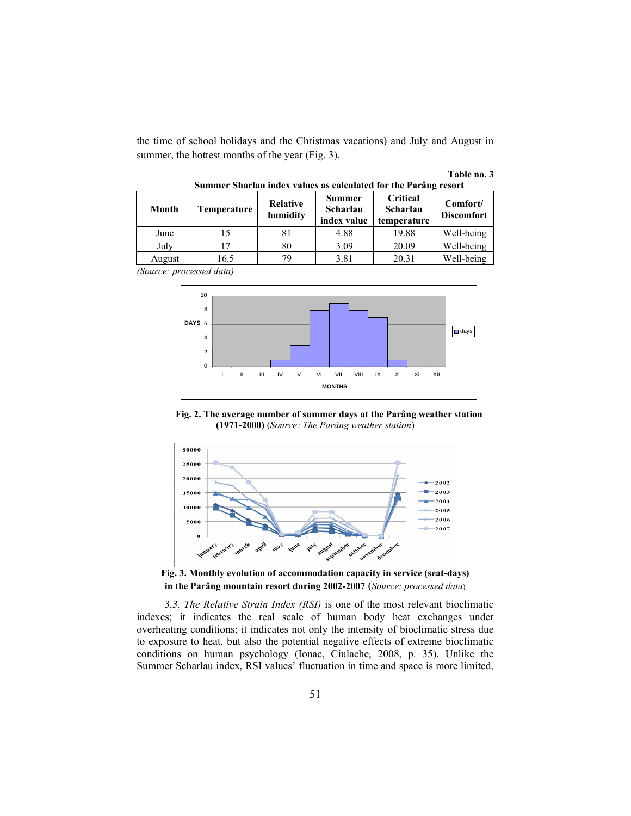the time of school holidays and the Christmas vacations) and July and August in summer, the hottest months of the year (Fig. 3).

| Table no. 3 |  |  |
|-------------|--|--|
|-------------|--|--|

| Month  | Temperature | <b>Relative</b><br>humidity | <b>Summer</b><br>Scharlau<br>index value | <b>Critical</b><br>Scharlau<br>temperature | Comfort/<br><b>Discomfort</b> |
|--------|-------------|-----------------------------|------------------------------------------|--------------------------------------------|-------------------------------|
| June   | 15          |                             | 4.88                                     | 19.88                                      | Well-being                    |
| July   |             | 80                          | 3.09                                     | 20.09                                      | Well-being                    |
| August | 16.5        | 70                          | 3.81                                     | 20.31                                      | Well-being                    |

**Summer Sharlau index values as calculated for the Parâng resort** 

*(Source: processed data)* 



**Fig. 2. The average number of summer days at the Parâng weather station (1971-2000)** (*Source: The Parâng weather station*)



**Fig. 3. Monthly evolution of accommodation capacity in service (seat-days) in the Parâng mountain resort during 2002-2007** (*Source: processed data*)

*3.3. The Relative Strain Index (RSI)* is one of the most relevant bioclimatic indexes; it indicates the real scale of human body heat exchanges under overheating conditions; it indicates not only the intensity of bioclimatic stress due to exposure to heat, but also the potential negative effects of extreme bioclimatic conditions on human psychology (Ionac, Ciulache, 2008, p. 35). Unlike the Summer Scharlau index, RSI values' fluctuation in time and space is more limited,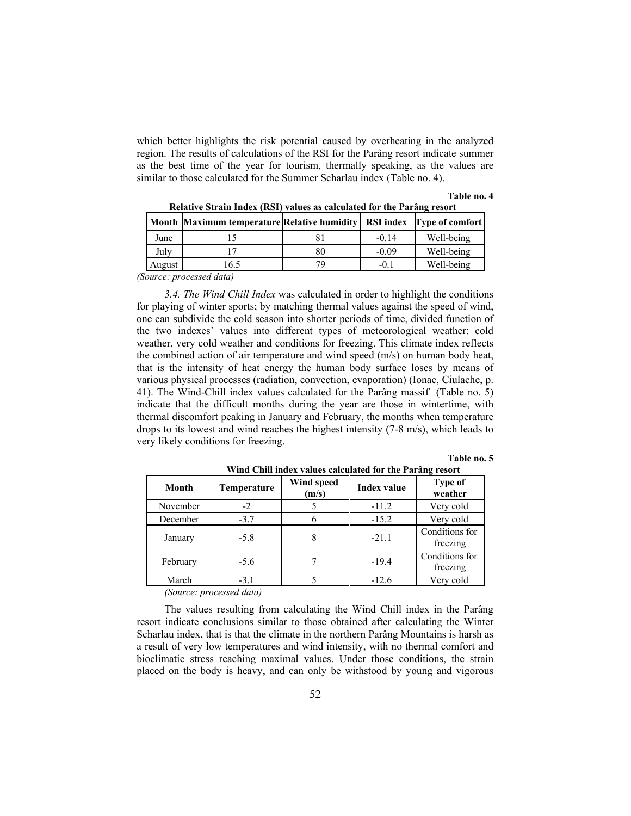which better highlights the risk potential caused by overheating in the analyzed region. The results of calculations of the RSI for the Parâng resort indicate summer as the best time of the year for tourism, thermally speaking, as the values are similar to those calculated for the Summer Scharlau index (Table no. 4).

 **Table no. 4** 

|        |     | <b>RSI</b> index | <b>Type of comfort</b>                             |  |
|--------|-----|------------------|----------------------------------------------------|--|
| June   |     | $-0.14$          | Well-being                                         |  |
| July   |     | $-0.09$          | Well-being                                         |  |
| August | 6.5 | $-()$ .          | Well-being                                         |  |
|        |     |                  | <b>Month Maximum temperature Relative humidity</b> |  |

 **Relative Strain Index (RSI) values as calculated for the Parâng resort** 

*(Source: processed data)* 

*3.4. The Wind Chill Index* was calculated in order to highlight the conditions for playing of winter sports; by matching thermal values against the speed of wind, one can subdivide the cold season into shorter periods of time, divided function of the two indexes' values into different types of meteorological weather: cold weather, very cold weather and conditions for freezing. This climate index reflects the combined action of air temperature and wind speed (m/s) on human body heat, that is the intensity of heat energy the human body surface loses by means of various physical processes (radiation, convection, evaporation) (Ionac, Ciulache, p. 41). The Wind-Chill index values calculated for the Parâng massif (Table no. 5) indicate that the difficult months during the year are those in wintertime, with thermal discomfort peaking in January and February, the months when temperature drops to its lowest and wind reaches the highest intensity (7-8 m/s), which leads to very likely conditions for freezing.

### **Table no. 5**

| Wind Chill index values calculated for the Parâng resort |             |                     |                    |                            |  |  |  |  |  |  |
|----------------------------------------------------------|-------------|---------------------|--------------------|----------------------------|--|--|--|--|--|--|
| Month                                                    | Temperature | Wind speed<br>(m/s) | <b>Index value</b> | Type of<br>weather         |  |  |  |  |  |  |
| November                                                 | $-2$        |                     | $-11.2$            | Very cold                  |  |  |  |  |  |  |
| December                                                 | $-3.7$      |                     | $-15.2$            | Very cold                  |  |  |  |  |  |  |
| January                                                  | $-5.8$      | 8                   | $-21.1$            | Conditions for<br>freezing |  |  |  |  |  |  |
| February                                                 | $-5.6$      |                     | $-19.4$            | Conditions for<br>freezing |  |  |  |  |  |  |
| March                                                    | $-3.1$      |                     | $-12.6$            | Very cold                  |  |  |  |  |  |  |

*(Source: processed data)* 

The values resulting from calculating the Wind Chill index in the Parâng resort indicate conclusions similar to those obtained after calculating the Winter Scharlau index, that is that the climate in the northern Parâng Mountains is harsh as a result of very low temperatures and wind intensity, with no thermal comfort and bioclimatic stress reaching maximal values. Under those conditions, the strain placed on the body is heavy, and can only be withstood by young and vigorous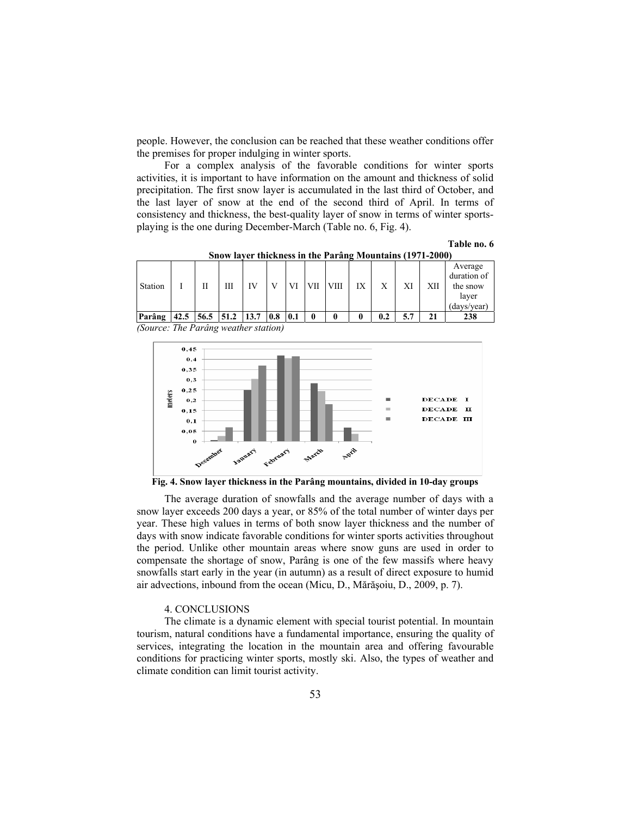people. However, the conclusion can be reached that these weather conditions offer the premises for proper indulging in winter sports.

For a complex analysis of the favorable conditions for winter sports activities, it is important to have information on the amount and thickness of solid precipitation. The first snow layer is accumulated in the last third of October, and the last layer of snow at the end of the second third of April. In terms of consistency and thickness, the best-quality layer of snow in terms of winter sportsplaying is the one during December-March (Table no. 6, Fig. 4).

**Table no. 6** 

| Snow layer thickness in the Parâng Mountains (1971-2000) |      |  |                        |           |  |  |     |             |    |     |     |     |                                                          |
|----------------------------------------------------------|------|--|------------------------|-----------|--|--|-----|-------------|----|-----|-----|-----|----------------------------------------------------------|
| Station                                                  |      |  | Ш                      | <b>IV</b> |  |  | VII | <b>VIII</b> | IX | X   | XI  | XII | Average<br>duration of<br>the snow<br>layer<br>days/year |
| Parâng                                                   | 42.5 |  | $ 56.5 $ 51.2 13.7 0.8 |           |  |  |     |             |    | 0.2 | 5.7 | 21  | 238                                                      |

*(Source: The Parâng weather station)* 



**Fig. 4. Snow layer thickness in the Parâng mountains, divided in 10-day groups** 

The average duration of snowfalls and the average number of days with a snow layer exceeds 200 days a year, or 85% of the total number of winter days per year. These high values in terms of both snow layer thickness and the number of days with snow indicate favorable conditions for winter sports activities throughout the period. Unlike other mountain areas where snow guns are used in order to compensate the shortage of snow, Parâng is one of the few massifs where heavy snowfalls start early in the year (in autumn) as a result of direct exposure to humid air advections, inbound from the ocean (Micu, D., Mărăşoiu, D., 2009, p. 7).

### 4. CONCLUSIONS

The climate is a dynamic element with special tourist potential. In mountain tourism, natural conditions have a fundamental importance, ensuring the quality of services, integrating the location in the mountain area and offering favourable conditions for practicing winter sports, mostly ski. Also, the types of weather and climate condition can limit tourist activity.